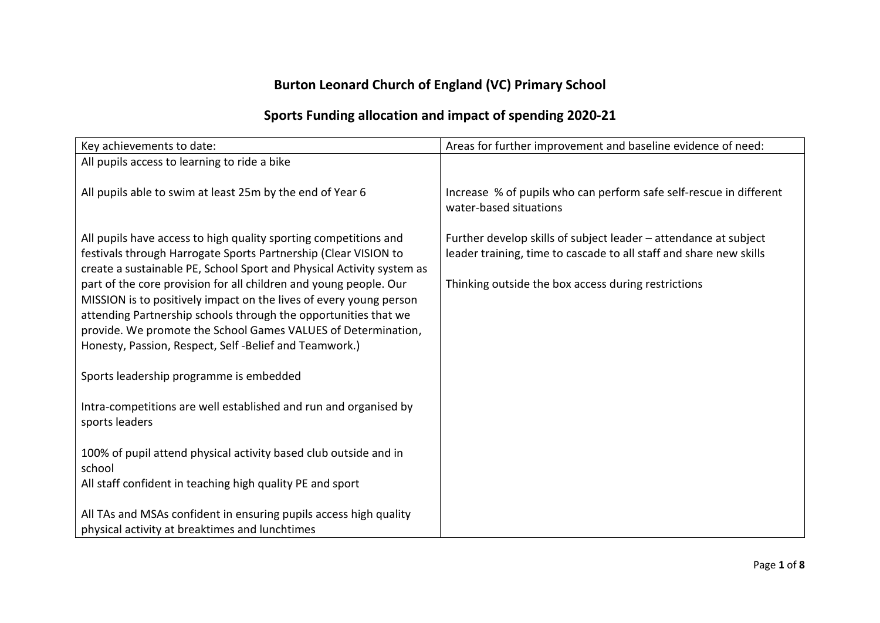## **Burton Leonard Church of England (VC) Primary School**

## **Sports Funding allocation and impact of spending 2020-21**

| Key achievements to date:                                                                                                                                                                                                                                                                                                                                                                                                                                                                                                                            | Areas for further improvement and baseline evidence of need:                                                                                                                                  |
|------------------------------------------------------------------------------------------------------------------------------------------------------------------------------------------------------------------------------------------------------------------------------------------------------------------------------------------------------------------------------------------------------------------------------------------------------------------------------------------------------------------------------------------------------|-----------------------------------------------------------------------------------------------------------------------------------------------------------------------------------------------|
| All pupils access to learning to ride a bike                                                                                                                                                                                                                                                                                                                                                                                                                                                                                                         |                                                                                                                                                                                               |
| All pupils able to swim at least 25m by the end of Year 6                                                                                                                                                                                                                                                                                                                                                                                                                                                                                            | Increase % of pupils who can perform safe self-rescue in different<br>water-based situations                                                                                                  |
| All pupils have access to high quality sporting competitions and<br>festivals through Harrogate Sports Partnership (Clear VISION to<br>create a sustainable PE, School Sport and Physical Activity system as<br>part of the core provision for all children and young people. Our<br>MISSION is to positively impact on the lives of every young person<br>attending Partnership schools through the opportunities that we<br>provide. We promote the School Games VALUES of Determination,<br>Honesty, Passion, Respect, Self-Belief and Teamwork.) | Further develop skills of subject leader - attendance at subject<br>leader training, time to cascade to all staff and share new skills<br>Thinking outside the box access during restrictions |
| Sports leadership programme is embedded                                                                                                                                                                                                                                                                                                                                                                                                                                                                                                              |                                                                                                                                                                                               |
| Intra-competitions are well established and run and organised by<br>sports leaders                                                                                                                                                                                                                                                                                                                                                                                                                                                                   |                                                                                                                                                                                               |
| 100% of pupil attend physical activity based club outside and in<br>school                                                                                                                                                                                                                                                                                                                                                                                                                                                                           |                                                                                                                                                                                               |
| All staff confident in teaching high quality PE and sport                                                                                                                                                                                                                                                                                                                                                                                                                                                                                            |                                                                                                                                                                                               |
| All TAs and MSAs confident in ensuring pupils access high quality<br>physical activity at breaktimes and lunchtimes                                                                                                                                                                                                                                                                                                                                                                                                                                  |                                                                                                                                                                                               |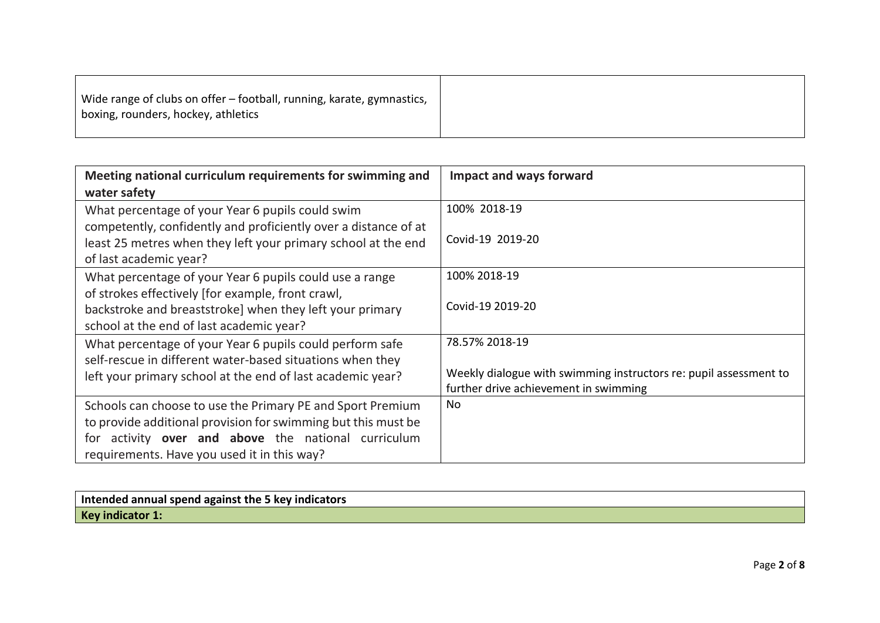| boxing, rounders, hockey, athletics |
|-------------------------------------|
|-------------------------------------|

| Meeting national curriculum requirements for swimming and       | <b>Impact and ways forward</b>                                    |
|-----------------------------------------------------------------|-------------------------------------------------------------------|
| water safety                                                    |                                                                   |
| What percentage of your Year 6 pupils could swim                | 100% 2018-19                                                      |
| competently, confidently and proficiently over a distance of at |                                                                   |
| least 25 metres when they left your primary school at the end   | Covid-19 2019-20                                                  |
| of last academic year?                                          |                                                                   |
| What percentage of your Year 6 pupils could use a range         | 100% 2018-19                                                      |
| of strokes effectively [for example, front crawl,               |                                                                   |
| backstroke and breaststroke] when they left your primary        | Covid-19 2019-20                                                  |
| school at the end of last academic year?                        |                                                                   |
| What percentage of your Year 6 pupils could perform safe        | 78.57% 2018-19                                                    |
| self-rescue in different water-based situations when they       |                                                                   |
| left your primary school at the end of last academic year?      | Weekly dialogue with swimming instructors re: pupil assessment to |
|                                                                 | further drive achievement in swimming                             |
| Schools can choose to use the Primary PE and Sport Premium      | No                                                                |
| to provide additional provision for swimming but this must be   |                                                                   |
| activity over and above the national curriculum<br>tor          |                                                                   |
| requirements. Have you used it in this way?                     |                                                                   |

| Intended annual spend against the 5 key indicators |  |
|----------------------------------------------------|--|
| Key indicator 1:                                   |  |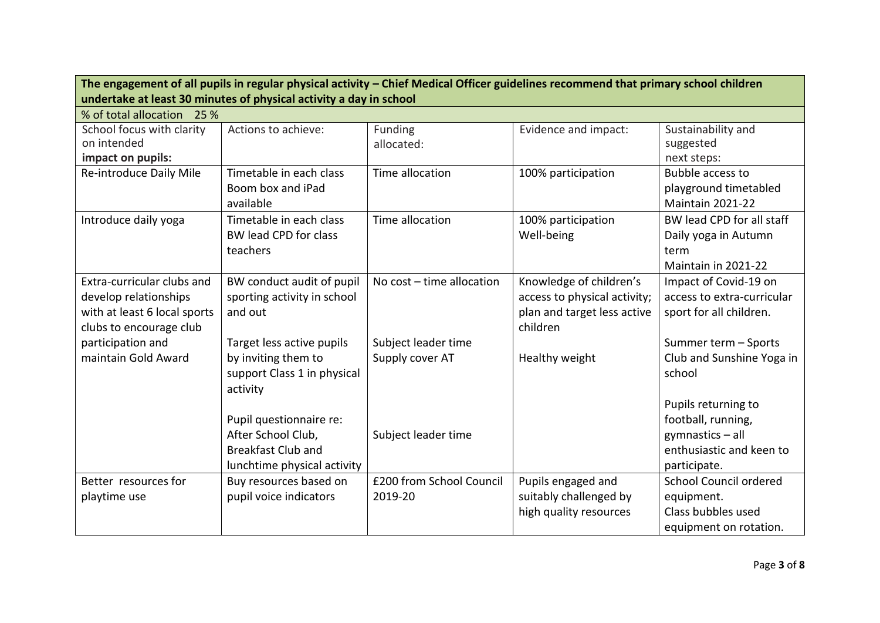| The engagement of all pupils in regular physical activity - Chief Medical Officer guidelines recommend that primary school children<br>undertake at least 30 minutes of physical activity a day in school |                                                                                                           |                                        |                                                                                                    |                                                                                                           |
|-----------------------------------------------------------------------------------------------------------------------------------------------------------------------------------------------------------|-----------------------------------------------------------------------------------------------------------|----------------------------------------|----------------------------------------------------------------------------------------------------|-----------------------------------------------------------------------------------------------------------|
| % of total allocation 25 %                                                                                                                                                                                |                                                                                                           |                                        |                                                                                                    |                                                                                                           |
| School focus with clarity<br>on intended<br>impact on pupils:                                                                                                                                             | Actions to achieve:                                                                                       | Funding<br>allocated:                  | Evidence and impact:                                                                               | Sustainability and<br>suggested<br>next steps:                                                            |
| Re-introduce Daily Mile                                                                                                                                                                                   | Timetable in each class<br>Boom box and iPad<br>available                                                 | Time allocation                        | 100% participation                                                                                 | Bubble access to<br>playground timetabled<br>Maintain 2021-22                                             |
| Introduce daily yoga                                                                                                                                                                                      | Timetable in each class<br>BW lead CPD for class<br>teachers                                              | Time allocation                        | 100% participation<br>Well-being                                                                   | BW lead CPD for all staff<br>Daily yoga in Autumn<br>term<br>Maintain in 2021-22                          |
| Extra-curricular clubs and<br>develop relationships<br>with at least 6 local sports<br>clubs to encourage club                                                                                            | BW conduct audit of pupil<br>sporting activity in school<br>and out                                       | No $cost - time$ allocation            | Knowledge of children's<br>access to physical activity;<br>plan and target less active<br>children | Impact of Covid-19 on<br>access to extra-curricular<br>sport for all children.                            |
| participation and<br>maintain Gold Award                                                                                                                                                                  | Target less active pupils<br>by inviting them to<br>support Class 1 in physical<br>activity               | Subject leader time<br>Supply cover AT | Healthy weight                                                                                     | Summer term - Sports<br>Club and Sunshine Yoga in<br>school                                               |
|                                                                                                                                                                                                           | Pupil questionnaire re:<br>After School Club,<br><b>Breakfast Club and</b><br>lunchtime physical activity | Subject leader time                    |                                                                                                    | Pupils returning to<br>football, running,<br>gymnastics - all<br>enthusiastic and keen to<br>participate. |
| Better resources for<br>playtime use                                                                                                                                                                      | Buy resources based on<br>pupil voice indicators                                                          | £200 from School Council<br>2019-20    | Pupils engaged and<br>suitably challenged by<br>high quality resources                             | School Council ordered<br>equipment.<br>Class bubbles used<br>equipment on rotation.                      |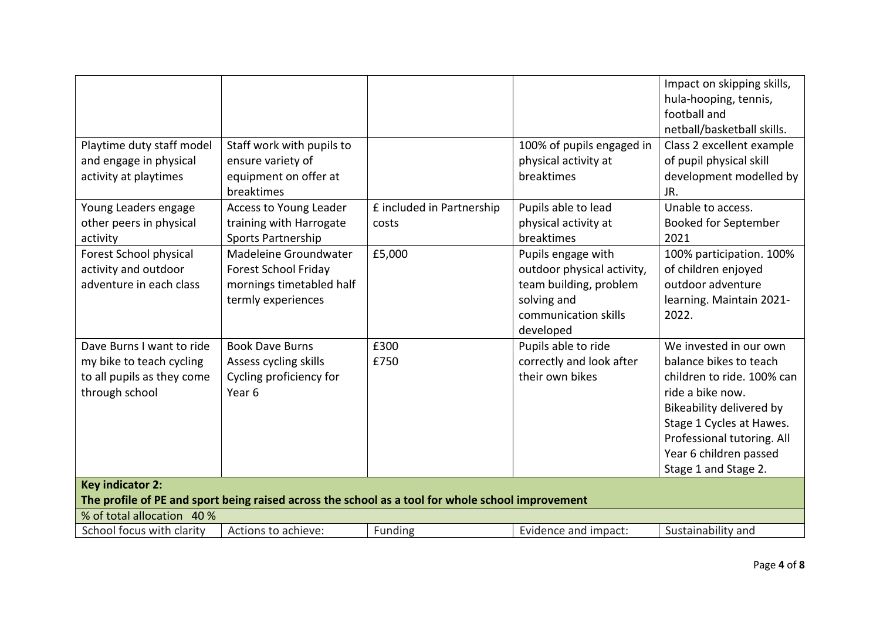|                                                                                                                              |                                                                                                        |                                    |                                                                                                                                | Impact on skipping skills,<br>hula-hooping, tennis,<br>football and<br>netball/basketball skills.                                                                                                                                          |
|------------------------------------------------------------------------------------------------------------------------------|--------------------------------------------------------------------------------------------------------|------------------------------------|--------------------------------------------------------------------------------------------------------------------------------|--------------------------------------------------------------------------------------------------------------------------------------------------------------------------------------------------------------------------------------------|
| Playtime duty staff model<br>and engage in physical<br>activity at playtimes                                                 | Staff work with pupils to<br>ensure variety of<br>equipment on offer at<br>breaktimes                  |                                    | 100% of pupils engaged in<br>physical activity at<br>breaktimes                                                                | Class 2 excellent example<br>of pupil physical skill<br>development modelled by<br>JR.                                                                                                                                                     |
| Young Leaders engage<br>other peers in physical<br>activity                                                                  | Access to Young Leader<br>training with Harrogate<br>Sports Partnership                                | £ included in Partnership<br>costs | Pupils able to lead<br>physical activity at<br>breaktimes                                                                      | Unable to access.<br><b>Booked for September</b><br>2021                                                                                                                                                                                   |
| Forest School physical<br>activity and outdoor<br>adventure in each class                                                    | Madeleine Groundwater<br><b>Forest School Friday</b><br>mornings timetabled half<br>termly experiences | £5,000                             | Pupils engage with<br>outdoor physical activity,<br>team building, problem<br>solving and<br>communication skills<br>developed | 100% participation. 100%<br>of children enjoyed<br>outdoor adventure<br>learning. Maintain 2021-<br>2022.                                                                                                                                  |
| Dave Burns I want to ride<br>my bike to teach cycling<br>to all pupils as they come<br>through school                        | <b>Book Dave Burns</b><br>Assess cycling skills<br>Cycling proficiency for<br>Year <sub>6</sub>        | £300<br>£750                       | Pupils able to ride<br>correctly and look after<br>their own bikes                                                             | We invested in our own<br>balance bikes to teach<br>children to ride. 100% can<br>ride a bike now.<br>Bikeability delivered by<br>Stage 1 Cycles at Hawes.<br>Professional tutoring. All<br>Year 6 children passed<br>Stage 1 and Stage 2. |
| <b>Key indicator 2:</b><br>The profile of PE and sport being raised across the school as a tool for whole school improvement |                                                                                                        |                                    |                                                                                                                                |                                                                                                                                                                                                                                            |
| % of total allocation 40 %                                                                                                   |                                                                                                        |                                    |                                                                                                                                |                                                                                                                                                                                                                                            |
| School focus with clarity                                                                                                    | Actions to achieve:                                                                                    | Funding                            | Evidence and impact:                                                                                                           | Sustainability and                                                                                                                                                                                                                         |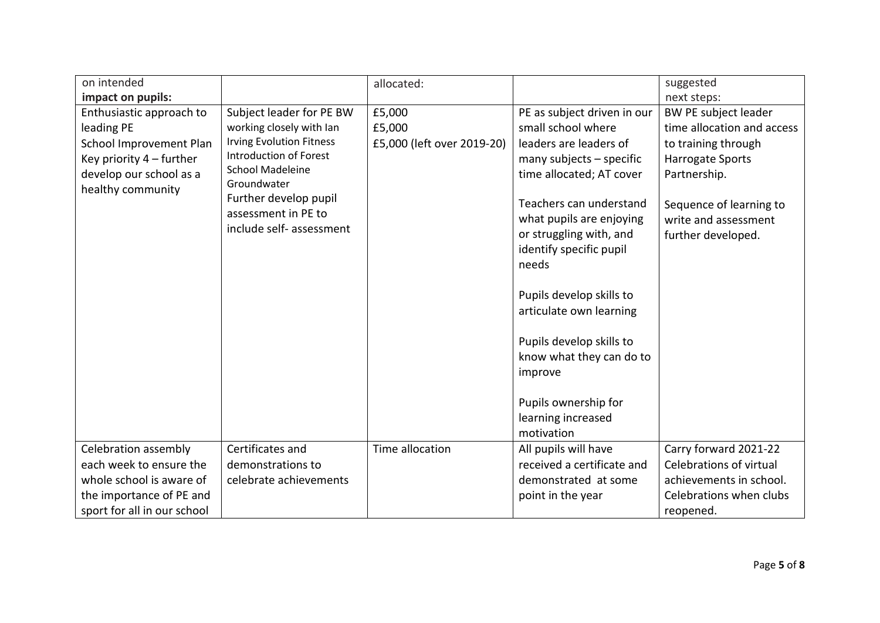| on intended                 |                                 | allocated:                 |                             | suggested                  |
|-----------------------------|---------------------------------|----------------------------|-----------------------------|----------------------------|
| impact on pupils:           |                                 |                            |                             | next steps:                |
| Enthusiastic approach to    | Subject leader for PE BW        | £5,000                     | PE as subject driven in our | BW PE subject leader       |
| leading PE                  | working closely with Ian        | £5,000                     | small school where          | time allocation and access |
| School Improvement Plan     | <b>Irving Evolution Fitness</b> | £5,000 (left over 2019-20) | leaders are leaders of      | to training through        |
| Key priority $4$ – further  | <b>Introduction of Forest</b>   |                            | many subjects $-$ specific  | <b>Harrogate Sports</b>    |
| develop our school as a     | <b>School Madeleine</b>         |                            | time allocated; AT cover    | Partnership.               |
| healthy community           | Groundwater                     |                            |                             |                            |
|                             | Further develop pupil           |                            | Teachers can understand     | Sequence of learning to    |
|                             | assessment in PE to             |                            | what pupils are enjoying    | write and assessment       |
|                             | include self- assessment        |                            | or struggling with, and     | further developed.         |
|                             |                                 |                            | identify specific pupil     |                            |
|                             |                                 |                            | needs                       |                            |
|                             |                                 |                            |                             |                            |
|                             |                                 |                            | Pupils develop skills to    |                            |
|                             |                                 |                            | articulate own learning     |                            |
|                             |                                 |                            |                             |                            |
|                             |                                 |                            | Pupils develop skills to    |                            |
|                             |                                 |                            | know what they can do to    |                            |
|                             |                                 |                            | improve                     |                            |
|                             |                                 |                            |                             |                            |
|                             |                                 |                            | Pupils ownership for        |                            |
|                             |                                 |                            | learning increased          |                            |
|                             |                                 |                            | motivation                  |                            |
| Celebration assembly        | Certificates and                | Time allocation            | All pupils will have        | Carry forward 2021-22      |
| each week to ensure the     | demonstrations to               |                            | received a certificate and  | Celebrations of virtual    |
| whole school is aware of    | celebrate achievements          |                            | demonstrated at some        | achievements in school.    |
| the importance of PE and    |                                 |                            | point in the year           | Celebrations when clubs    |
| sport for all in our school |                                 |                            |                             | reopened.                  |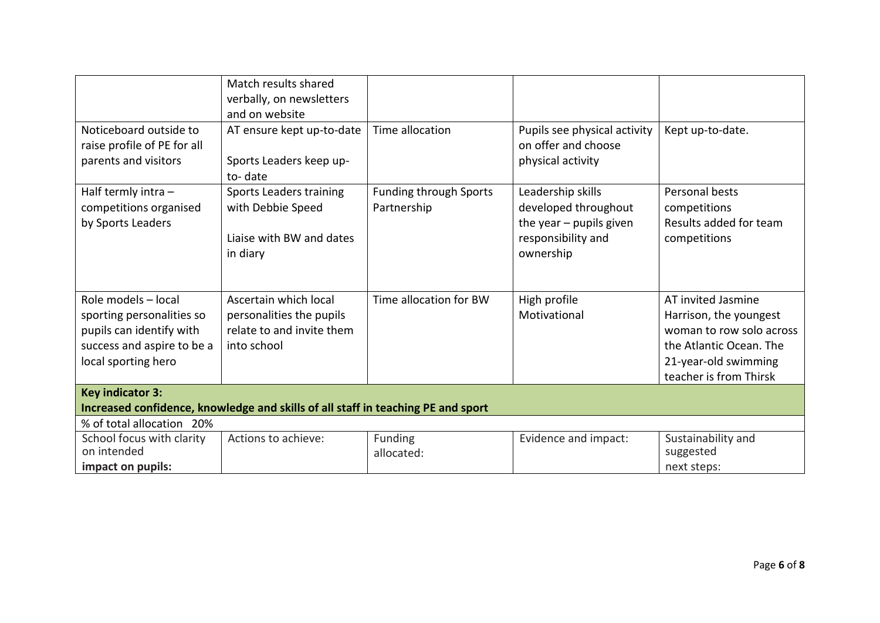|                                                                                                                                   | Match results shared<br>verbally, on newsletters<br>and on website                            |                                              |                                                                                                           |                                                                                                                                                       |
|-----------------------------------------------------------------------------------------------------------------------------------|-----------------------------------------------------------------------------------------------|----------------------------------------------|-----------------------------------------------------------------------------------------------------------|-------------------------------------------------------------------------------------------------------------------------------------------------------|
| Noticeboard outside to<br>raise profile of PE for all<br>parents and visitors                                                     | AT ensure kept up-to-date<br>Sports Leaders keep up-<br>to-date                               | Time allocation                              | Pupils see physical activity<br>on offer and choose<br>physical activity                                  | Kept up-to-date.                                                                                                                                      |
| Half termly intra -<br>competitions organised<br>by Sports Leaders                                                                | Sports Leaders training<br>with Debbie Speed<br>Liaise with BW and dates<br>in diary          | <b>Funding through Sports</b><br>Partnership | Leadership skills<br>developed throughout<br>the year $-$ pupils given<br>responsibility and<br>ownership | Personal bests<br>competitions<br>Results added for team<br>competitions                                                                              |
| Role models - local<br>sporting personalities so<br>pupils can identify with<br>success and aspire to be a<br>local sporting hero | Ascertain which local<br>personalities the pupils<br>relate to and invite them<br>into school | Time allocation for BW                       | High profile<br>Motivational                                                                              | AT invited Jasmine<br>Harrison, the youngest<br>woman to row solo across<br>the Atlantic Ocean. The<br>21-year-old swimming<br>teacher is from Thirsk |
| <b>Key indicator 3:</b><br>Increased confidence, knowledge and skills of all staff in teaching PE and sport                       |                                                                                               |                                              |                                                                                                           |                                                                                                                                                       |
| % of total allocation 20%                                                                                                         |                                                                                               |                                              |                                                                                                           |                                                                                                                                                       |
| School focus with clarity<br>on intended<br>impact on pupils:                                                                     | Actions to achieve:                                                                           | Funding<br>allocated:                        | Evidence and impact:                                                                                      | Sustainability and<br>suggested<br>next steps:                                                                                                        |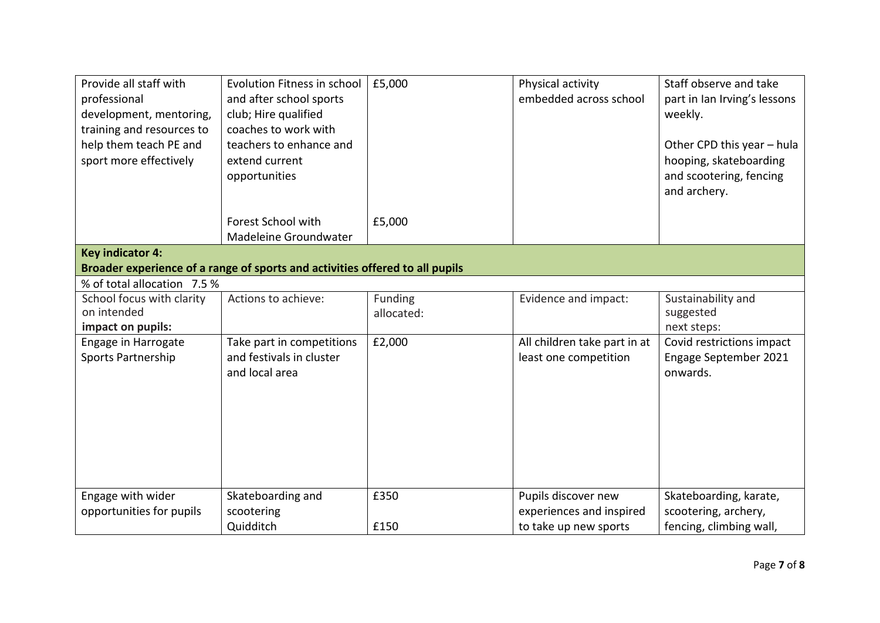| Provide all staff with<br>professional<br>development, mentoring,<br>training and resources to<br>help them teach PE and<br>sport more effectively | Evolution Fitness in school<br>and after school sports<br>club; Hire qualified<br>coaches to work with<br>teachers to enhance and<br>extend current<br>opportunities | £5,000                | Physical activity<br>embedded across school           | Staff observe and take<br>part in Ian Irving's lessons<br>weekly.<br>Other CPD this year - hula<br>hooping, skateboarding<br>and scootering, fencing<br>and archery. |
|----------------------------------------------------------------------------------------------------------------------------------------------------|----------------------------------------------------------------------------------------------------------------------------------------------------------------------|-----------------------|-------------------------------------------------------|----------------------------------------------------------------------------------------------------------------------------------------------------------------------|
|                                                                                                                                                    | Forest School with<br>Madeleine Groundwater                                                                                                                          | £5,000                |                                                       |                                                                                                                                                                      |
| <b>Key indicator 4:</b>                                                                                                                            | Broader experience of a range of sports and activities offered to all pupils                                                                                         |                       |                                                       |                                                                                                                                                                      |
| % of total allocation 7.5 %                                                                                                                        |                                                                                                                                                                      |                       |                                                       |                                                                                                                                                                      |
| School focus with clarity<br>on intended<br>impact on pupils:                                                                                      | Actions to achieve:                                                                                                                                                  | Funding<br>allocated: | Evidence and impact:                                  | Sustainability and<br>suggested<br>next steps:                                                                                                                       |
| Engage in Harrogate<br>Sports Partnership                                                                                                          | Take part in competitions<br>and festivals in cluster<br>and local area                                                                                              | £2,000                | All children take part in at<br>least one competition | Covid restrictions impact<br>Engage September 2021<br>onwards.                                                                                                       |
| Engage with wider                                                                                                                                  | Skateboarding and                                                                                                                                                    | £350                  | Pupils discover new                                   | Skateboarding, karate,                                                                                                                                               |
| opportunities for pupils                                                                                                                           | scootering<br>Quidditch                                                                                                                                              | £150                  | experiences and inspired<br>to take up new sports     | scootering, archery,<br>fencing, climbing wall,                                                                                                                      |
|                                                                                                                                                    |                                                                                                                                                                      |                       |                                                       |                                                                                                                                                                      |